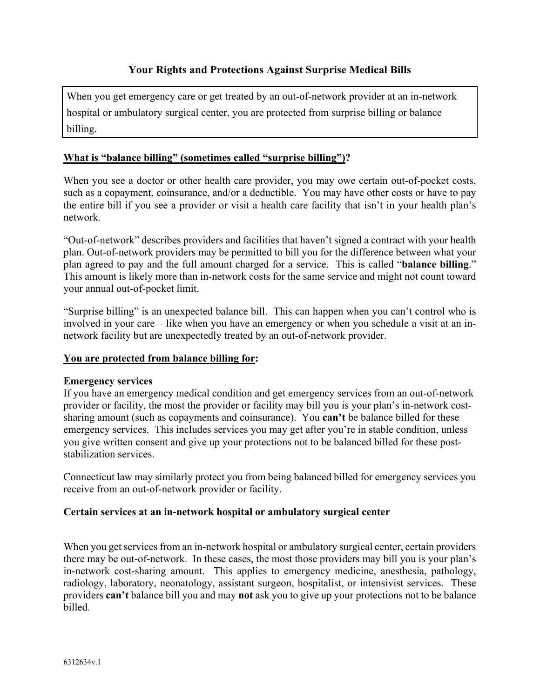# **Your Rights and Protections Against Surprise Medical Bills**

When you get emergency care or get treated by an out-of-network provider at an in-network hospital or ambulatory surgical center, you are protected from surprise billing or balance billing.

#### **What is "balance billing" (sometimes called "surprise billing")?**

When you see a doctor or other health care provider, you may owe certain out-of-pocket costs, such as a copayment, coinsurance, and/or a deductible. You may have other costs or have to pay the entire bill if you see a provider or visit a health care facility that isn't in your health plan's network.

"Out-of-network" describes providers and facilities that haven't signed a contract with your health plan. Out-of-network providers may be permitted to bill you for the difference between what your plan agreed to pay and the full amount charged for a service. This is called "**balance billing**." This amount is likely more than in-network costs for the same service and might not count toward your annual out-of-pocket limit.

"Surprise billing" is an unexpected balance bill. This can happen when you can't control who is involved in your care – like when you have an emergency or when you schedule a visit at an innetwork facility but are unexpectedly treated by an out-of-network provider.

#### **You are protected from balance billing for:**

#### **Emergency services**

If you have an emergency medical condition and get emergency services from an out-of-network provider or facility, the most the provider or facility may bill you is your plan's in-network costsharing amount (such as copayments and coinsurance). You **can't** be balance billed for these emergency services. This includes services you may get after you're in stable condition, unless you give written consent and give up your protections not to be balanced billed for these poststabilization services.

Connecticut law may similarly protect you from being balanced billed for emergency services you receive from an out-of-network provider or facility.

#### **Certain services at an in-network hospital or ambulatory surgical center**

When you get services from an in-network hospital or ambulatory surgical center, certain providers there may be out-of-network. In these cases, the most those providers may bill you is your plan's in-network cost-sharing amount. This applies to emergency medicine, anesthesia, pathology, radiology, laboratory, neonatology, assistant surgeon, hospitalist, or intensivist services. These providers **can't** balance bill you and may **not** ask you to give up your protections not to be balance billed.